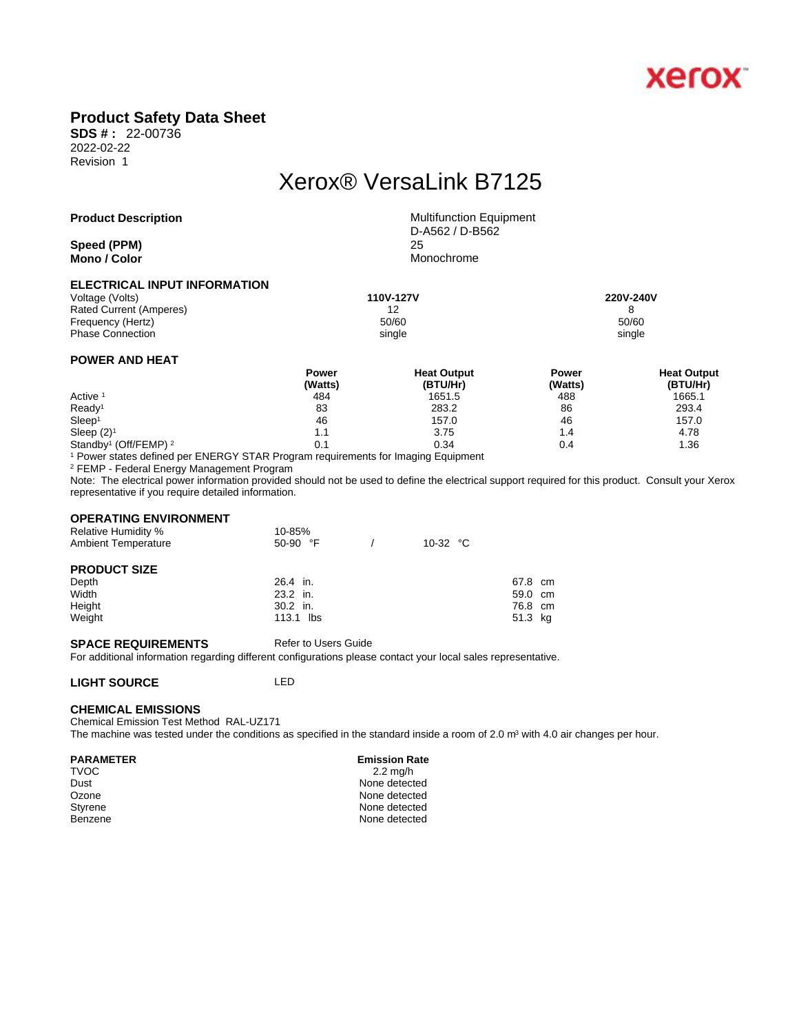

## **Product Safety Data Sheet**

**SDS # :** 22-00736 2022-02-22 Revision 1

# Xerox® VersaLink B7125

#### **Product Description** Multifunction Equipment

**Speed (PPM)** 25 **Mono / Color** Monochrome

D-A562 / D-B562

#### **ELECTRICAL INPUT INFORMATION**

Voltage (Volts) **110V-127V 220V-240V**  Rated Current (Amperes) 12 12<br>
Frequency (Hertz) 60/60<br>
50/60 Frequency (Hertz) Phase Connection single single single single single single single single single single

### **POWER AND HEAT**

|                                              | Power   | <b>Heat Output</b> | Power   | <b>Heat Output</b> |  |
|----------------------------------------------|---------|--------------------|---------|--------------------|--|
|                                              | (Watts) | (BTU/Hr)           | (Watts) | (BTU/Hr)           |  |
| Active <sup>1</sup>                          | 484     | 1651.5             | 488     | 1665.1             |  |
| Ready <sup>1</sup>                           | 83      | 283.2              | 86      | 293.4              |  |
| Sleep <sup>1</sup>                           | 46      | 157.0              | 46      | 157.0              |  |
| Sleep $(2)^1$                                | 1.1     | 3.75               | 4.،     | 4.78               |  |
| Standby <sup>1</sup> (Off/FEMP) <sup>2</sup> | 0.1     | 0.34               | 0.4     | 1.36               |  |

1 Power states defined per ENERGY STAR Program requirements for Imaging Equipment

2 FEMP - Federal Energy Management Program

Note: The electrical power information provided should not be used to define the electrical support required for this product. Consult your Xerox representative if you require detailed information.

#### **OPERATING ENVIRONMENT**

| <b>Relative Humidity %</b><br><b>Ambient Temperature</b> | 10-85%<br>$50-90$ °F | 10-32 $\degree$ C |         |  |
|----------------------------------------------------------|----------------------|-------------------|---------|--|
| <b>PRODUCT SIZE</b>                                      |                      |                   |         |  |
| Depth                                                    | 26.4 in.             |                   | 67.8 cm |  |
| Width                                                    | 23.2 in.             |                   | 59.0 cm |  |
| Height                                                   | $30.2$ in.           |                   | 76.8 cm |  |
| Weight                                                   | 113.1 lbs            |                   | 51.3 kg |  |

#### **SPACE REQUIREMENTS** Refer to Users Guide

For additional information regarding different configurations please contact your local sales representative.

#### **LIGHT SOURCE** LED

#### **CHEMICAL EMISSIONS**

Chemical Emission Test Method RAL-UZ171 The machine was tested under the conditions as specified in the standard inside a room of 2.0 m<sup>3</sup> with 4.0 air changes per hour.

#### **PARAMETER** Emission Rate

TVOC 2.2 mg/h Dust None detected Ozone None detected<br>
Styrene None detected<br>
None detected None detected Benzene None detected